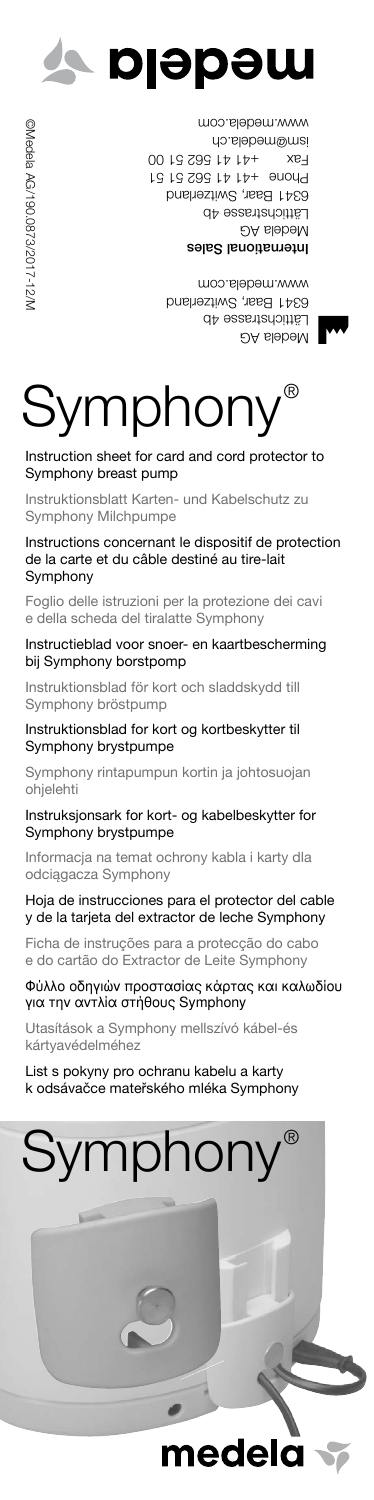

©Medela AG/190.0873/2017-12/M @Medela AG/190.0873/2017-12/N

International Sales Medela AG Lattichstrasse 4b 6341 Baar, Switzerland +41 41 562 51 51 Phone +41 41 562 51 00 Fax ism@medela.ch www.medela.com

> Medela AG Lättichstrasse 4b 6341 Baar, Switzerland www.medela.com



## Instruction sheet for card and cord protector to Symphony breast pump

Instruktionsblatt Karten- und Kabelschutz zu Symphony Milchpumpe

Instructions concernant le dispositif de protection de la carte et du câble destiné au tire-lait Symphony

Foglio delle istruzioni per la protezione dei cavi e della scheda del tiralatte Symphony

Instructieblad voor snoer- en kaartbescherming bij Symphony borstpomp

Instruktionsblad för kort och sladdskydd till Symphony bröstpump

Instruktionsblad for kort og kortbeskytter til Symphony brystpumpe

Symphony rintapumpun kortin ja johtosuojan ohjelehti

Instruksjonsark for kort- og kabelbeskytter for Symphony brystpumpe

Informacja na temat ochrony kabla i karty dla odciągacza Symphony

## Hoja de instrucciones para el protector del cable y de la tarjeta del extractor de leche Symphony

Ficha de instruções para a protecção do cabo e do cartão do Extractor de Leite Symphony

## Φύλλο οδηγιών προστασίας κάρτας και καλωδίου για την αντλία στήθους Symphony

Utasítások a Symphony mellszívó kábel-és kártyavédelméhez

List s pokyny pro ochranu kabelu a karty k odsávačce mateřského mléka Symphony



**nede**